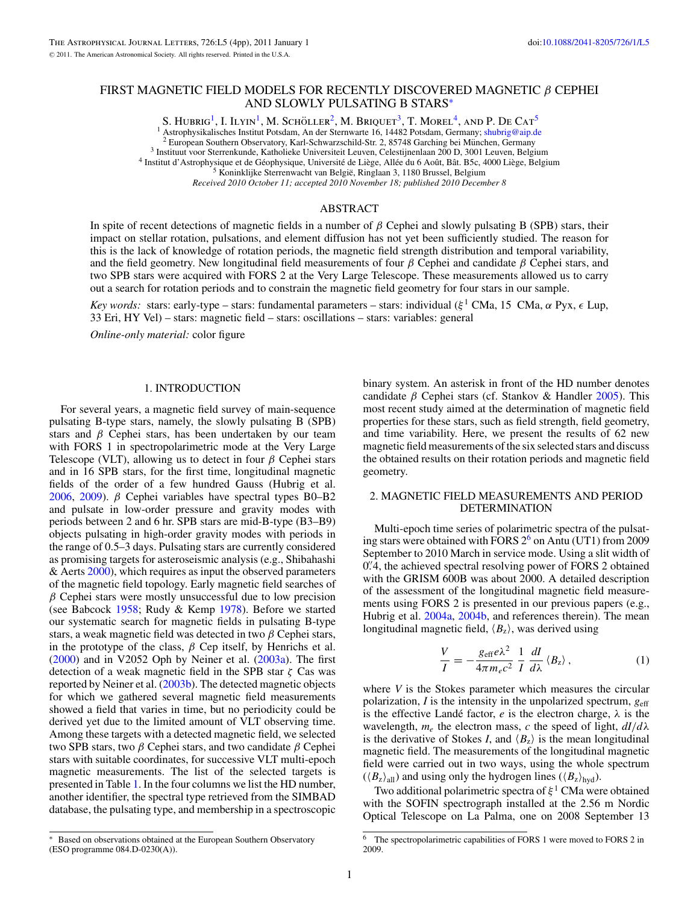# FIRST MAGNETIC FIELD MODELS FOR RECENTLY DISCOVERED MAGNETIC *β* CEPHEI AND SLOWLY PULSATING B STARS<sup>∗</sup>

S. HUBRIG<sup>1</sup>, I. ILYIN<sup>1</sup>, M. SCHÖLLER<sup>2</sup>, M. BRIQUET<sup>3</sup>, T. MOREL<sup>4</sup>, AND P. DE CAT<sup>5</sup>  $^1$  Astrophysikalisches Institut Potsdam, An der Sternwarte 16, 14482 Potsdam, Germany; [shubrig@aip.de](mailto:shubrig@aip.de) <sup>2</sup> European Southern Observatory, Karl-Schwarzschild-Str. 2, 85748 Garching bei München, Germany<br><sup>3</sup> Instituut voor

*Received 2010 October 11; accepted 2010 November 18; published 2010 December 8*

#### ABSTRACT

In spite of recent detections of magnetic fields in a number of *β* Cephei and slowly pulsating B (SPB) stars, their impact on stellar rotation, pulsations, and element diffusion has not yet been sufficiently studied. The reason for this is the lack of knowledge of rotation periods, the magnetic field strength distribution and temporal variability, and the field geometry. New longitudinal field measurements of four *β* Cephei and candidate *β* Cephei stars, and two SPB stars were acquired with FORS 2 at the Very Large Telescope. These measurements allowed us to carry out a search for rotation periods and to constrain the magnetic field geometry for four stars in our sample.

*Key words:* stars: early-type – stars: fundamental parameters – stars: individual ( $ξ$ <sup>1</sup> CMa, 15 CMa,  $α$  Pyx,  $ε$  Lup, 33 Eri, HY Vel) – stars: magnetic field – stars: oscillations – stars: variables: general

*Online-only material:* color figure

#### 1. INTRODUCTION

For several years, a magnetic field survey of main-sequence pulsating B-type stars, namely, the slowly pulsating B (SPB) stars and *β* Cephei stars, has been undertaken by our team with FORS 1 in spectropolarimetric mode at the Very Large Telescope (VLT), allowing us to detect in four *β* Cephei stars and in 16 SPB stars, for the first time, longitudinal magnetic fields of the order of a few hundred Gauss (Hubrig et al. [2006,](#page-3-0) [2009\)](#page-3-0). *β* Cephei variables have spectral types B0–B2 and pulsate in low-order pressure and gravity modes with periods between 2 and 6 hr. SPB stars are mid-B-type (B3–B9) objects pulsating in high-order gravity modes with periods in the range of 0.5–3 days. Pulsating stars are currently considered as promising targets for asteroseismic analysis (e.g., Shibahashi & Aerts [2000\)](#page-3-0), which requires as input the observed parameters of the magnetic field topology. Early magnetic field searches of *β* Cephei stars were mostly unsuccessful due to low precision (see Babcock [1958;](#page-3-0) Rudy & Kemp [1978\)](#page-3-0). Before we started our systematic search for magnetic fields in pulsating B-type stars, a weak magnetic field was detected in two *β* Cephei stars, in the prototype of the class,  $\beta$  Cep itself, by Henrichs et al. [\(2000\)](#page-3-0) and in V2052 Oph by Neiner et al. [\(2003a\)](#page-3-0). The first detection of a weak magnetic field in the SPB star *ζ* Cas was reported by Neiner et al. [\(2003b\)](#page-3-0). The detected magnetic objects for which we gathered several magnetic field measurements showed a field that varies in time, but no periodicity could be derived yet due to the limited amount of VLT observing time. Among these targets with a detected magnetic field, we selected two SPB stars, two *β* Cephei stars, and two candidate *β* Cephei stars with suitable coordinates, for successive VLT multi-epoch magnetic measurements. The list of the selected targets is presented in Table [1.](#page-1-0) In the four columns we list the HD number, another identifier, the spectral type retrieved from the SIMBAD database, the pulsating type, and membership in a spectroscopic

binary system. An asterisk in front of the HD number denotes candidate *β* Cephei stars (cf. Stankov & Handler [2005\)](#page-3-0). This most recent study aimed at the determination of magnetic field properties for these stars, such as field strength, field geometry, and time variability. Here, we present the results of 62 new magnetic field measurements of the six selected stars and discuss the obtained results on their rotation periods and magnetic field geometry.

## 2. MAGNETIC FIELD MEASUREMENTS AND PERIOD DETERMINATION

Multi-epoch time series of polarimetric spectra of the pulsating stars were obtained with FORS  $2<sup>6</sup>$  on Antu (UT1) from 2009 September to 2010 March in service mode. Using a slit width of 0.<sup>2</sup>.4, the achieved spectral resolving power of FORS 2 obtained with the GRISM 600B was about 2000. A detailed description of the assessment of the longitudinal magnetic field measurements using FORS 2 is presented in our previous papers (e.g., Hubrig et al. [2004a,](#page-3-0) [2004b,](#page-3-0) and references therein). The mean longitudinal magnetic field,  $\langle B_z \rangle$ , was derived using

$$
\frac{V}{I} = -\frac{g_{\text{eff}}e\lambda^2}{4\pi m_e c^2} \frac{1}{I} \frac{dI}{d\lambda} \langle B_z \rangle, \qquad (1)
$$

where *V* is the Stokes parameter which measures the circular polarization,  $I$  is the intensity in the unpolarized spectrum,  $g_{\text{eff}}$ is the effective Landé factor,  $e$  is the electron charge,  $\lambda$  is the wavelength,  $m_e$  the electron mass, *c* the speed of light,  $dI/d\lambda$ is the derivative of Stokes *I*, and  $\langle B_z \rangle$  is the mean longitudinal magnetic field. The measurements of the longitudinal magnetic field were carried out in two ways, using the whole spectrum  $(\langle B_z \rangle_{\text{all}})$  and using only the hydrogen lines  $(\langle B_z \rangle_{\text{hyd}})$ .

Two additional polarimetric spectra of *ξ* <sup>1</sup> CMa were obtained with the SOFIN spectrograph installed at the 2.56 m Nordic Optical Telescope on La Palma, one on 2008 September 13

Based on observations obtained at the European Southern Observatory (ESO programme 084.D-0230(A)).

The spectropolarimetric capabilities of FORS 1 were moved to FORS 2 in 2009.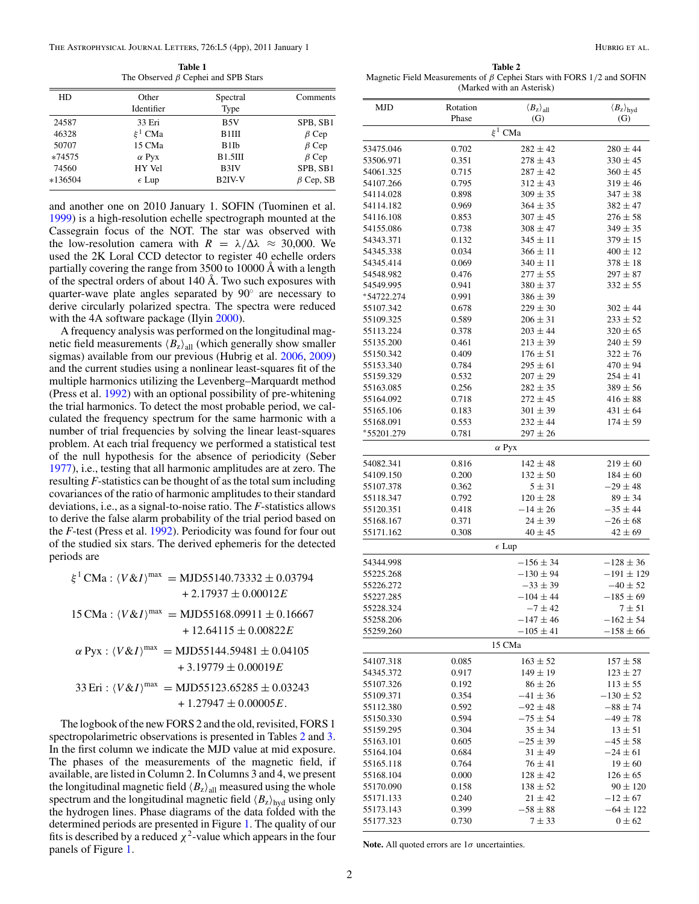**Table 1** The Observed *β* Cephei and SPB Stars

<span id="page-1-0"></span>

| HD      | Other          | Spectral           | Comments        |
|---------|----------------|--------------------|-----------------|
|         | Identifier     | Type               |                 |
| 24587   | 33 Eri         | B5V                | SPB, SB1        |
| 46328   | $\xi^1$ CMa    | B1III              | $\beta$ Cep     |
| 50707   | 15 CMa         | B1Ib               | $\beta$ Cep     |
| *74575  | $\alpha$ Pyx   | B1.5III            | $\beta$ Cep     |
| 74560   | HY Vel         | B3IV               | SPB, SB1        |
| *136504 | $\epsilon$ Lup | B <sub>2IV-V</sub> | $\beta$ Cep, SB |

and another one on 2010 January 1. SOFIN (Tuominen et al. [1999\)](#page-3-0) is a high-resolution echelle spectrograph mounted at the Cassegrain focus of the NOT. The star was observed with the low-resolution camera with  $R = \lambda/\Delta\lambda \approx 30,000$ . We used the 2K Loral CCD detector to register 40 echelle orders partially covering the range from 3500 to 10000 Å with a length of the spectral orders of about 140 Å. Two such exposures with quarter-wave plate angles separated by 90◦ are necessary to derive circularly polarized spectra. The spectra were reduced with the 4A software package (Ilyin [2000\)](#page-3-0).

A frequency analysis was performed on the longitudinal magnetic field measurements  $\langle B_z \rangle$ <sub>all</sub> (which generally show smaller sigmas) available from our previous (Hubrig et al. [2006,](#page-3-0) [2009\)](#page-3-0) and the current studies using a nonlinear least-squares fit of the multiple harmonics utilizing the Levenberg–Marquardt method (Press et al. [1992\)](#page-3-0) with an optional possibility of pre-whitening the trial harmonics. To detect the most probable period, we calculated the frequency spectrum for the same harmonic with a number of trial frequencies by solving the linear least-squares problem. At each trial frequency we performed a statistical test of the null hypothesis for the absence of periodicity (Seber [1977\)](#page-3-0), i.e., testing that all harmonic amplitudes are at zero. The resulting *F*-statistics can be thought of as the total sum including covariances of the ratio of harmonic amplitudes to their standard deviations, i.e., as a signal-to-noise ratio. The *F*-statistics allows to derive the false alarm probability of the trial period based on the *F*-test (Press et al. [1992\)](#page-3-0). Periodicity was found for four out of the studied six stars. The derived ephemeris for the detected periods are

 $\xi^1$  CMa :  $\langle V \& I \rangle^{\text{max}} = \text{MJD} 55140.73332 \pm 0.03794$ + 2*.*17937 ± 0*.*00012*E*  $15 \text{ CMa}: \langle V \& I \rangle^{\text{max}} = \text{MJD} 55168.09911 \pm 0.16667$ + 12*.*64115 ± 0*.*00822*E*  $\alpha$  Pyx :  $\langle V \& I \rangle^{max} = MJD55144.59481 \pm 0.04105$ + 3*.*19779 ± 0*.*00019*E*  $33 \text{ Eri}$  :  $\langle V \& I \rangle^{\text{max}} = \text{MJD} 55123.65285 \pm 0.03243$  $+1.27947 \pm 0.00005E$ .

The logbook of the new FORS 2 and the old, revisited, FORS 1 spectropolarimetric observations is presented in Tables 2 and [3.](#page-3-0) In the first column we indicate the MJD value at mid exposure. The phases of the measurements of the magnetic field, if available, are listed in Column 2. In Columns 3 and 4, we present the longitudinal magnetic field  $\langle B_z \rangle$ <sub>all</sub> measured using the whole spectrum and the longitudinal magnetic field  $\langle B_z \rangle_{\text{hyd}}$  using only the hydrogen lines. Phase diagrams of the data folded with the determined periods are presented in Figure [1.](#page-2-0) The quality of our fits is described by a reduced  $\chi^2$ -value which appears in the four panels of Figure [1.](#page-2-0)

**Table 2** Magnetic Field Measurements of *β* Cephei Stars with FORS 1*/*2 and SOFIN (Marked with an Asterisk)

| MJD                                 | Rotation       | $\langle B_{\rm z} \rangle_{\rm all}$ | $\langle B_{\rm z} \rangle_{\rm hyd}$ |  |  |  |
|-------------------------------------|----------------|---------------------------------------|---------------------------------------|--|--|--|
|                                     | Phase          | (G)                                   | (G)                                   |  |  |  |
|                                     |                | $\xi^1$ CMa                           |                                       |  |  |  |
| 53475.046                           | 0.702          | $282 \pm 42$                          | $280 \pm 44$                          |  |  |  |
| 53506.971                           | 0.351          | $278 \pm 43$                          | $330 \pm 45$                          |  |  |  |
| 54061.325                           | 0.715          | $287 \pm 42$                          | $360 \pm 45$                          |  |  |  |
| 54107.266                           | 0.795          | $312 \pm 43$                          | $319 \pm 46$                          |  |  |  |
| 54114.028                           | 0.898          | $309 \pm 35$                          | $347 \pm 38$                          |  |  |  |
| 54114.182                           | 0.969          | $364 \pm 35$                          | $382 \pm 47$                          |  |  |  |
| 54116.108                           | 0.853          | $307 \pm 45$                          | $276 \pm 58$                          |  |  |  |
| 54155.086                           | 0.738          | $308 \pm 47$                          | $349 \pm 35$                          |  |  |  |
| 54343.371                           | 0.132          | $345 \pm 11$                          | $379 \pm 15$                          |  |  |  |
| 54345.338                           | 0.034          | $366 \pm 11$                          | $400 \pm 12$                          |  |  |  |
| 54345.414                           | 0.069          | $340 \pm 11$                          | $378 \pm 18$                          |  |  |  |
| 54548.982                           | 0.476          | $277 \pm 55$                          | $297 \pm 87$                          |  |  |  |
| 54549.995                           | 0.941          | $380 \pm 37$                          | $332 \pm 55$                          |  |  |  |
| *54722.274                          | 0.991          | $386 \pm 39$                          |                                       |  |  |  |
| 55107.342                           | 0.678          | $229 \pm 30$                          | $302 \pm 44$                          |  |  |  |
| 55109.325                           | 0.589          | $206 \pm 31$                          | $233 \pm 52$                          |  |  |  |
| 55113.224                           | 0.378          | $203 \pm 44$                          | $320 \pm 65$                          |  |  |  |
| 55135.200                           | 0.461          | $213 \pm 39$                          | $240 \pm 59$                          |  |  |  |
| 55150.342                           | 0.409          | $176 \pm 51$                          | $322 \pm 76$                          |  |  |  |
| 55153.340                           | 0.784          | $295 \pm 61$                          | $470 \pm 94$                          |  |  |  |
| 55159.329                           | 0.532          | $207 \pm 29$                          | $254 \pm 41$                          |  |  |  |
| 55163.085                           | 0.256          | $282 \pm 35$                          | $389 \pm 56$                          |  |  |  |
| 55164.092                           | 0.718          | $272 \pm 45$                          | $416 \pm 88$                          |  |  |  |
| 55165.106                           | 0.183          | $301 \pm 39$                          | $431 \pm 64$                          |  |  |  |
| 55168.091                           | 0.553          | $232 \pm 44$                          | $174 \pm 59$                          |  |  |  |
| *55201.279<br>0.781<br>$297 \pm 26$ |                |                                       |                                       |  |  |  |
|                                     |                | $\alpha$ Pyx                          |                                       |  |  |  |
| 54082.341                           | 0.816          | $142 \pm 48$                          | $219 \pm 60$                          |  |  |  |
| 54109.150                           | 0.200          | $132 \pm 50$                          | $184 \pm 60$                          |  |  |  |
| 55107.378                           | 0.362          | $5\pm31$                              | $-29 \pm 48$                          |  |  |  |
| 55118.347                           | 0.792          | $120 \pm 28$                          | $89 \pm 34$                           |  |  |  |
| 55120.351                           | 0.418          | $-14 \pm 26$                          | $-35 \pm 44$                          |  |  |  |
| 55168.167                           | 0.371          | $24 \pm 39$                           | $-26 \pm 68$                          |  |  |  |
| 55171.162                           | 0.308          | $40 \pm 45$                           | $42 \pm 69$                           |  |  |  |
|                                     | $\epsilon$ Lup |                                       |                                       |  |  |  |
| 54344.998                           |                | $-156 \pm 34$                         | $-128 \pm 36$                         |  |  |  |
| 55225.268                           |                | $-130 \pm 94$                         | $-191 \pm 129$                        |  |  |  |
| 55226.272                           |                | $-33 \pm 39$                          | $-40 \pm 52$                          |  |  |  |
| 55227.285                           |                | $-104 \pm 44$                         | $-185 \pm 69$                         |  |  |  |
| 55228.324                           |                | $-7 \pm 42$                           | $7 + 51$                              |  |  |  |
| 55258.206                           |                | $-147\pm46$                           | $-162 \pm 54$                         |  |  |  |
| 55259.260                           | $-105\pm41$    |                                       | $-158 \pm 66$                         |  |  |  |
|                                     | 15 CMa         |                                       |                                       |  |  |  |
| 54107.318                           | 0.085          | $163 \pm 52$                          | $157 \pm 58$                          |  |  |  |
| 54345.372                           | 0.917          | $149 \pm 19$                          | $123 \pm 27$                          |  |  |  |
| 55107.326                           | 0.192          | $86 \pm 26$                           | $113 \pm 55$                          |  |  |  |
| 55109.371                           | 0.354          | $-41 \pm 36$                          | $-130 \pm 52$                         |  |  |  |
| 55112.380                           | 0.592          | $-92 \pm 48$                          | $-88 \pm 74$                          |  |  |  |
| 55150.330                           | 0.594          | $-75 \pm 54$                          | $-49 \pm 78$                          |  |  |  |
| 55159.295                           | 0.304          | $35 \pm 34$                           | $13 \pm 51$                           |  |  |  |
| 55163.101                           | 0.605          | $-25 \pm 39$                          | $-45 \pm 58$                          |  |  |  |
| 55164.104                           | 0.684          | $31 \pm 49$                           | $-24 \pm 61$                          |  |  |  |
| 55165.118                           | 0.764          | $76 \pm 41$                           | $19 \pm 60$                           |  |  |  |
| 55168.104                           | 0.000          | $128 \pm 42$                          | $126 \pm 65$                          |  |  |  |
| 55170.090                           | 0.158          | $138 \pm 52$                          | $90 \pm 120$                          |  |  |  |
| 55171.133                           | 0.240          | $21 \pm 42$                           | $-12 \pm 67$                          |  |  |  |
| 55173.143                           | 0.399          | $-58\pm88$                            | $-64 \pm 122$                         |  |  |  |
| 55177.323                           | 0.730          | 7 ± 33                                | $0 \pm 62$                            |  |  |  |

**Note.** All quoted errors are 1*σ* uncertainties.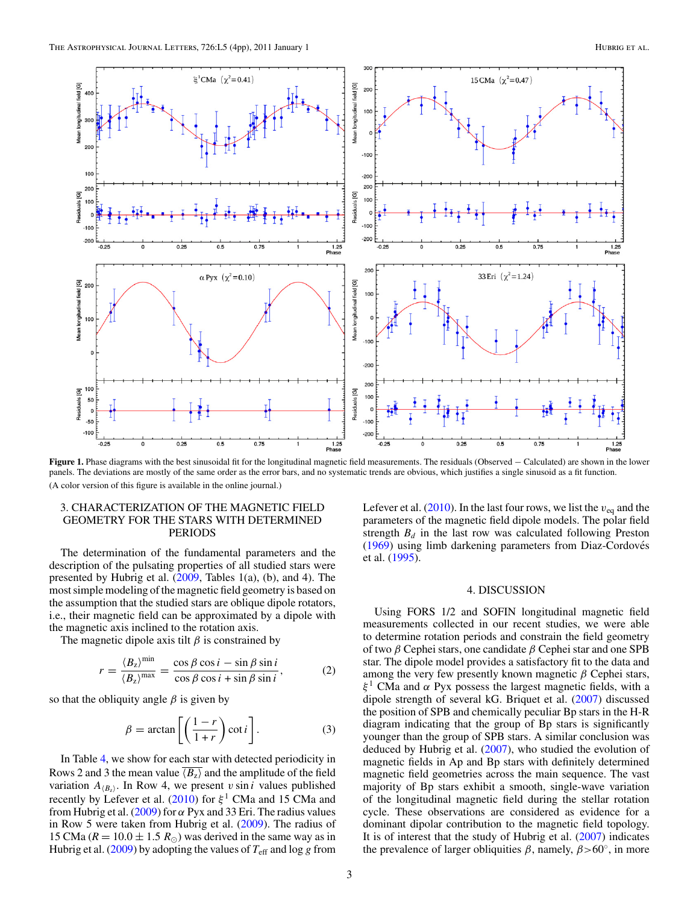<span id="page-2-0"></span>

**Figure 1.** Phase diagrams with the best sinusoidal fit for the longitudinal magnetic field measurements. The residuals (Observed − Calculated) are shown in the lower panels. The deviations are mostly of the same order as the error bars, and no systematic trends are obvious, which justifies a single sinusoid as a fit function. (A color version of this figure is available in the online journal.)

## 3. CHARACTERIZATION OF THE MAGNETIC FIELD GEOMETRY FOR THE STARS WITH DETERMINED PERIODS

The determination of the fundamental parameters and the description of the pulsating properties of all studied stars were presented by Hubrig et al.  $(2009,$  Tables 1(a), (b), and 4). The most simple modeling of the magnetic field geometry is based on the assumption that the studied stars are oblique dipole rotators, i.e., their magnetic field can be approximated by a dipole with the magnetic axis inclined to the rotation axis.

The magnetic dipole axis tilt  $\beta$  is constrained by

$$
r = \frac{\langle B_z \rangle^{\min}}{\langle B_z \rangle^{\max}} = \frac{\cos \beta \cos i - \sin \beta \sin i}{\cos \beta \cos i + \sin \beta \sin i},\tag{2}
$$

so that the obliquity angle  $\beta$  is given by

$$
\beta = \arctan\left[\left(\frac{1-r}{1+r}\right)\cot i\right].\tag{3}
$$

In Table [4,](#page-3-0) we show for each star with detected periodicity in Rows 2 and 3 the mean value  $\overline{\langle B_z \rangle}$  and the amplitude of the field variation  $A_{\langle B_x \rangle}$ . In Row 4, we present *v* sin *i* values published recently by Lefever et al. [\(2010\)](#page-3-0) for *ξ* <sup>1</sup> CMa and 15 CMa and from Hubrig et al. [\(2009\)](#page-3-0) for *α* Pyx and 33 Eri. The radius values in Row 5 were taken from Hubrig et al. [\(2009\)](#page-3-0). The radius of 15 CMa ( $R = 10.0 \pm 1.5$   $R_{\odot}$ ) was derived in the same way as in Hubrig et al. [\(2009\)](#page-3-0) by adopting the values of  $T_{\text{eff}}$  and log g from

Lefever et al.  $(2010)$ . In the last four rows, we list the  $v_{eq}$  and the parameters of the magnetic field dipole models. The polar field strength  $B_d$  in the last row was calculated following Preston [\(1969\)](#page-3-0) using limb darkening parameters from Diaz-Cordoves´ et al. [\(1995\)](#page-3-0).

## 4. DISCUSSION

Using FORS 1/2 and SOFIN longitudinal magnetic field measurements collected in our recent studies, we were able to determine rotation periods and constrain the field geometry of two *β* Cephei stars, one candidate *β* Cephei star and one SPB star. The dipole model provides a satisfactory fit to the data and among the very few presently known magnetic *β* Cephei stars, *ξ* <sup>1</sup> CMa and *α* Pyx possess the largest magnetic fields, with a dipole strength of several kG. Briquet et al. [\(2007\)](#page-3-0) discussed the position of SPB and chemically peculiar Bp stars in the H-R diagram indicating that the group of Bp stars is significantly younger than the group of SPB stars. A similar conclusion was deduced by Hubrig et al.  $(2007)$ , who studied the evolution of magnetic fields in Ap and Bp stars with definitely determined magnetic field geometries across the main sequence. The vast majority of Bp stars exhibit a smooth, single-wave variation of the longitudinal magnetic field during the stellar rotation cycle. These observations are considered as evidence for a dominant dipolar contribution to the magnetic field topology. It is of interest that the study of Hubrig et al. [\(2007\)](#page-3-0) indicates the prevalence of larger obliquities *β*, namely, *β>*60◦, in more